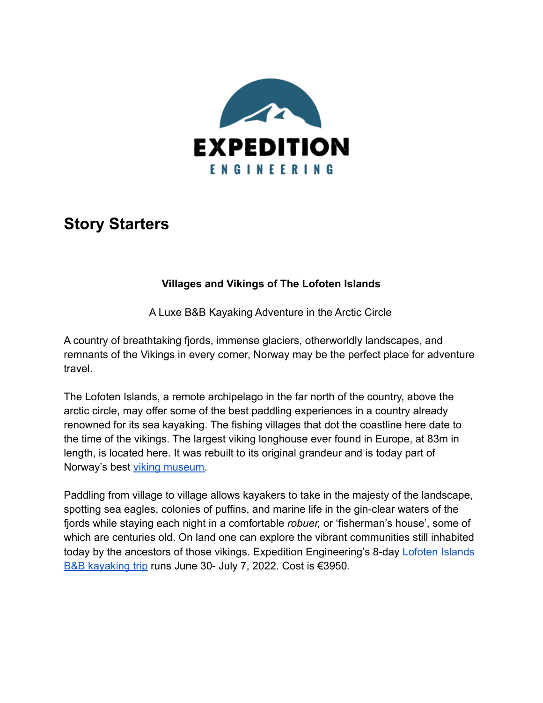

# **Story Starters**

## **Villages and Vikings of The Lofoten Islands**

A Luxe B&B Kayaking Adventure in the Arctic Circle

A country of breathtaking fjords, immense glaciers, otherworldly landscapes, and remnants of the Vikings in every corner, Norway may be the perfect place for adventure travel.

The Lofoten Islands, a remote archipelago in the far north of the country, above the arctic circle, may offer some of the best paddling experiences in a country already renowned for its sea kayaking. The fishing villages that dot the coastline here date to the time of the vikings. The largest viking longhouse ever found in Europe, at 83m in length, is located here. It was rebuilt to its original grandeur and is today part of Norway's best [viking museum.](https://www.lofotr.no/en/)

Paddling from village to village allows kayakers to take in the majesty of the landscape, spotting sea eagles, colonies of puffins, and marine life in the gin-clear waters of the fjords while staying each night in a comfortable *robuer,* or 'fisherman's house', some of which are centuries old. On land one can explore the vibrant communities still inhabited today by the ancestors of those vikings. Expedition Engineering's 8-day [Lofoten Islands](https://expeditionengineering.com/kayaking/lofoten-islands-kayak-bnb-experience/) [B&B kayaking trip](https://expeditionengineering.com/kayaking/lofoten-islands-kayak-bnb-experience/) runs June 30- July 7, 2022. Cost is €3950.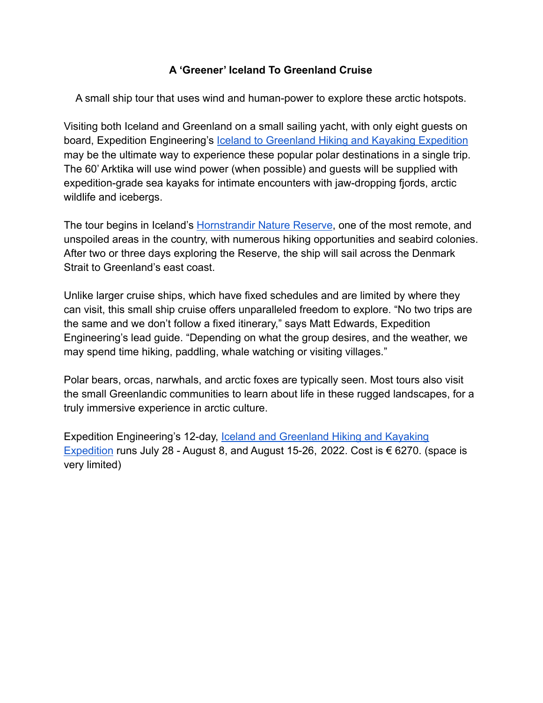## **A 'Greener' Iceland To Greenland Cruise**

A small ship tour that uses wind and human-power to explore these arctic hotspots.

Visiting both Iceland and Greenland on a small sailing yacht, with only eight guests on board, Expedition Engineering's Iceland to Greenland [Hiking and Kayaking Expedition](https://expeditionengineering.com/kayaking/iceland-greenland-hiking-kayak-expedition/) may be the ultimate way to experience these popular polar destinations in a single trip. The 60' Arktika will use wind power (when possible) and guests will be supplied with expedition-grade sea kayaks for intimate encounters with jaw-dropping fjords, arctic wildlife and icebergs.

The tour begins in Iceland's [Hornstrandir Nature Reserve](https://www.lonelyplanet.com/articles/guide-to-hornstrandir), one of the most remote, and unspoiled areas in the country, with numerous hiking opportunities and seabird colonies. After two or three days exploring the Reserve, the ship will sail across the Denmark Strait to Greenland's east coast.

Unlike larger cruise ships, which have fixed schedules and are limited by where they can visit, this small ship cruise offers unparalleled freedom to explore. "No two trips are the same and we don't follow a fixed itinerary," says Matt Edwards, Expedition Engineering's lead guide. "Depending on what the group desires, and the weather, we may spend time hiking, paddling, whale watching or visiting villages."

Polar bears, orcas, narwhals, and arctic foxes are typically seen. Most tours also visit the small Greenlandic communities to learn about life in these rugged landscapes, for a truly immersive experience in arctic culture.

Expedition Engineering's 12-day, [Iceland and Greenland](https://expeditionengineering.com/kayaking/iceland-greenland-hiking-kayak-expedition/) Hiking and Kayaking [Expedition](https://expeditionengineering.com/kayaking/iceland-greenland-hiking-kayak-expedition/) runs July 28 - August 8, and August 15-26, 2022. Cost is € 6270. (space is very limited)